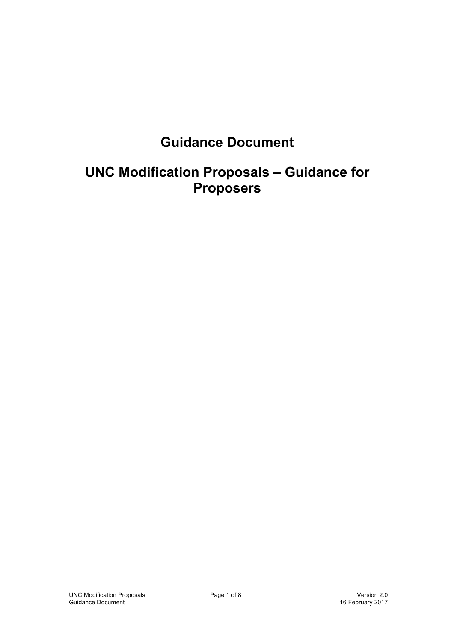# **Guidance Document**

## **UNC Modification Proposals – Guidance for Proposers**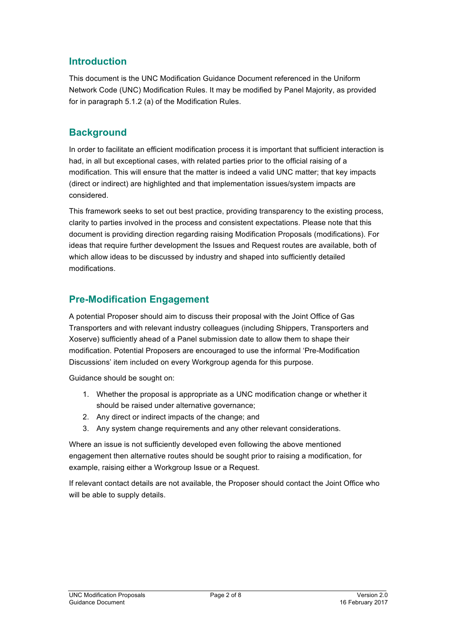## **Introduction**

This document is the UNC Modification Guidance Document referenced in the Uniform Network Code (UNC) Modification Rules. It may be modified by Panel Majority, as provided for in paragraph 5.1.2 (a) of the Modification Rules.

#### **Background**

In order to facilitate an efficient modification process it is important that sufficient interaction is had, in all but exceptional cases, with related parties prior to the official raising of a modification. This will ensure that the matter is indeed a valid UNC matter; that key impacts (direct or indirect) are highlighted and that implementation issues/system impacts are considered.

This framework seeks to set out best practice, providing transparency to the existing process, clarity to parties involved in the process and consistent expectations. Please note that this document is providing direction regarding raising Modification Proposals (modifications). For ideas that require further development the Issues and Request routes are available, both of which allow ideas to be discussed by industry and shaped into sufficiently detailed modifications.

## **Pre-Modification Engagement**

A potential Proposer should aim to discuss their proposal with the Joint Office of Gas Transporters and with relevant industry colleagues (including Shippers, Transporters and Xoserve) sufficiently ahead of a Panel submission date to allow them to shape their modification. Potential Proposers are encouraged to use the informal 'Pre-Modification Discussions' item included on every Workgroup agenda for this purpose.

Guidance should be sought on:

- 1. Whether the proposal is appropriate as a UNC modification change or whether it should be raised under alternative governance;
- 2. Any direct or indirect impacts of the change; and
- 3. Any system change requirements and any other relevant considerations.

Where an issue is not sufficiently developed even following the above mentioned engagement then alternative routes should be sought prior to raising a modification, for example, raising either a Workgroup Issue or a Request.

If relevant contact details are not available, the Proposer should contact the Joint Office who will be able to supply details.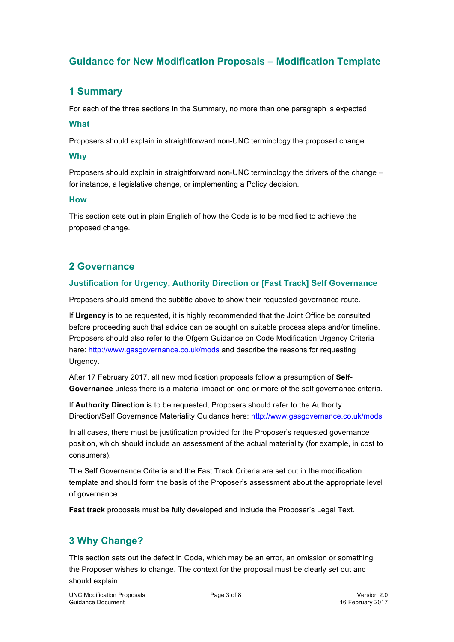## **Guidance for New Modification Proposals – Modification Template**

## **1 Summary**

For each of the three sections in the Summary, no more than one paragraph is expected.

#### **What**

Proposers should explain in straightforward non-UNC terminology the proposed change.

#### **Why**

Proposers should explain in straightforward non-UNC terminology the drivers of the change – for instance, a legislative change, or implementing a Policy decision.

#### **How**

This section sets out in plain English of how the Code is to be modified to achieve the proposed change.

## **2 Governance**

#### **Justification for Urgency, Authority Direction or [Fast Track] Self Governance**

Proposers should amend the subtitle above to show their requested governance route.

If **Urgency** is to be requested, it is highly recommended that the Joint Office be consulted before proceeding such that advice can be sought on suitable process steps and/or timeline. Proposers should also refer to the Ofgem Guidance on Code Modification Urgency Criteria here: http://www.gasgovernance.co.uk/mods and describe the reasons for requesting Urgency.

After 17 February 2017, all new modification proposals follow a presumption of **Self-Governance** unless there is a material impact on one or more of the self governance criteria.

If **Authority Direction** is to be requested, Proposers should refer to the Authority Direction/Self Governance Materiality Guidance here: http://www.gasgovernance.co.uk/mods

In all cases, there must be justification provided for the Proposer's requested governance position, which should include an assessment of the actual materiality (for example, in cost to consumers).

The Self Governance Criteria and the Fast Track Criteria are set out in the modification template and should form the basis of the Proposer's assessment about the appropriate level of governance.

**Fast track** proposals must be fully developed and include the Proposer's Legal Text.

## **3 Why Change?**

This section sets out the defect in Code, which may be an error, an omission or something the Proposer wishes to change. The context for the proposal must be clearly set out and should explain: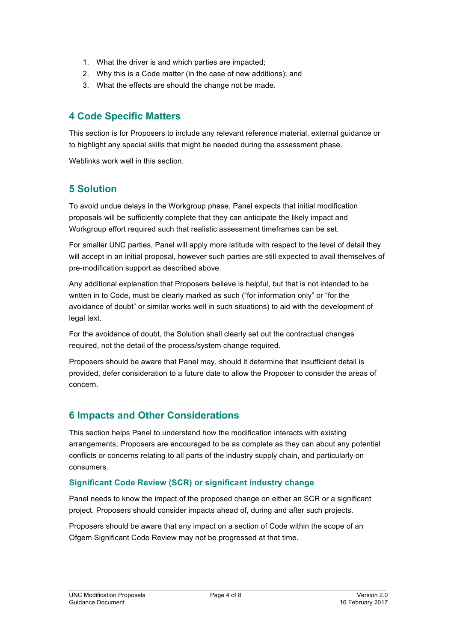- 1. What the driver is and which parties are impacted;
- 2. Why this is a Code matter (in the case of new additions); and
- 3. What the effects are should the change not be made.

## **4 Code Specific Matters**

This section is for Proposers to include any relevant reference material, external guidance or to highlight any special skills that might be needed during the assessment phase.

Weblinks work well in this section.

## **5 Solution**

To avoid undue delays in the Workgroup phase, Panel expects that initial modification proposals will be sufficiently complete that they can anticipate the likely impact and Workgroup effort required such that realistic assessment timeframes can be set.

For smaller UNC parties, Panel will apply more latitude with respect to the level of detail they will accept in an initial proposal, however such parties are still expected to avail themselves of pre-modification support as described above.

Any additional explanation that Proposers believe is helpful, but that is not intended to be written in to Code, must be clearly marked as such ("for information only" or "for the avoidance of doubt" or similar works well in such situations) to aid with the development of legal text.

For the avoidance of doubt, the Solution shall clearly set out the contractual changes required, not the detail of the process/system change required.

Proposers should be aware that Panel may, should it determine that insufficient detail is provided, defer consideration to a future date to allow the Proposer to consider the areas of concern.

## **6 Impacts and Other Considerations**

This section helps Panel to understand how the modification interacts with existing arrangements; Proposers are encouraged to be as complete as they can about any potential conflicts or concerns relating to all parts of the industry supply chain, and particularly on consumers.

#### **Significant Code Review (SCR) or significant industry change**

Panel needs to know the impact of the proposed change on either an SCR or a significant project. Proposers should consider impacts ahead of, during and after such projects.

Proposers should be aware that any impact on a section of Code within the scope of an Ofgem Significant Code Review may not be progressed at that time.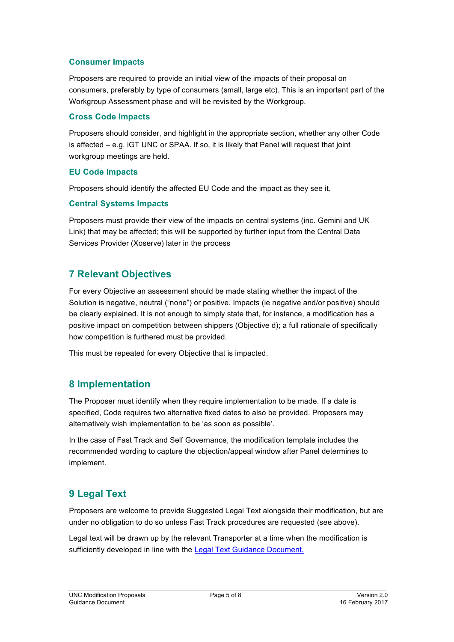#### **Consumer Impacts**

Proposers are required to provide an initial view of the impacts of their proposal on consumers, preferably by type of consumers (small, large etc). This is an important part of the Workgroup Assessment phase and will be revisited by the Workgroup.

#### **Cross Code Impacts**

Proposers should consider, and highlight in the appropriate section, whether any other Code is affected – e.g. iGT UNC or SPAA. If so, it is likely that Panel will request that joint workgroup meetings are held.

#### **EU Code Impacts**

Proposers should identify the affected EU Code and the impact as they see it.

#### **Central Systems Impacts**

Proposers must provide their view of the impacts on central systems (inc. Gemini and UK Link) that may be affected; this will be supported by further input from the Central Data Services Provider (Xoserve) later in the process

## **7 Relevant Objectives**

For every Objective an assessment should be made stating whether the impact of the Solution is negative, neutral ("none") or positive. Impacts (ie negative and/or positive) should be clearly explained. It is not enough to simply state that, for instance, a modification has a positive impact on competition between shippers (Objective d); a full rationale of specifically how competition is furthered must be provided.

This must be repeated for every Objective that is impacted.

#### **8 Implementation**

The Proposer must identify when they require implementation to be made. If a date is specified, Code requires two alternative fixed dates to also be provided. Proposers may alternatively wish implementation to be 'as soon as possible'.

In the case of Fast Track and Self Governance, the modification template includes the recommended wording to capture the objection/appeal window after Panel determines to implement.

## **9 Legal Text**

Proposers are welcome to provide Suggested Legal Text alongside their modification, but are under no obligation to do so unless Fast Track procedures are requested (see above).

Legal text will be drawn up by the relevant Transporter at a time when the modification is sufficiently developed in line with the Legal Text Guidance Document.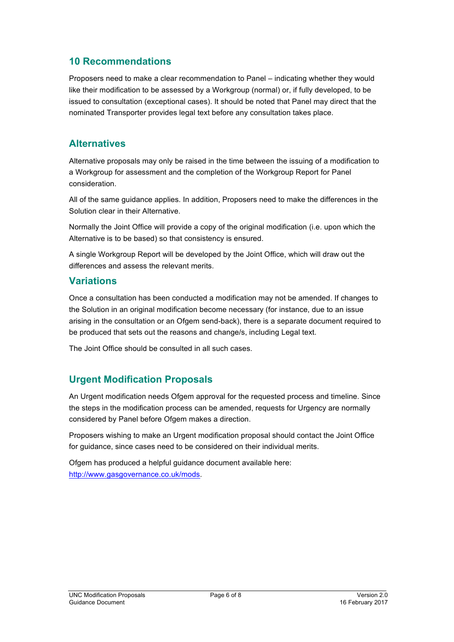#### **10 Recommendations**

Proposers need to make a clear recommendation to Panel – indicating whether they would like their modification to be assessed by a Workgroup (normal) or, if fully developed, to be issued to consultation (exceptional cases). It should be noted that Panel may direct that the nominated Transporter provides legal text before any consultation takes place.

#### **Alternatives**

Alternative proposals may only be raised in the time between the issuing of a modification to a Workgroup for assessment and the completion of the Workgroup Report for Panel consideration.

All of the same guidance applies. In addition, Proposers need to make the differences in the Solution clear in their Alternative.

Normally the Joint Office will provide a copy of the original modification (i.e. upon which the Alternative is to be based) so that consistency is ensured.

A single Workgroup Report will be developed by the Joint Office, which will draw out the differences and assess the relevant merits.

#### **Variations**

Once a consultation has been conducted a modification may not be amended. If changes to the Solution in an original modification become necessary (for instance, due to an issue arising in the consultation or an Ofgem send-back), there is a separate document required to be produced that sets out the reasons and change/s, including Legal text.

The Joint Office should be consulted in all such cases.

## **Urgent Modification Proposals**

An Urgent modification needs Ofgem approval for the requested process and timeline. Since the steps in the modification process can be amended, requests for Urgency are normally considered by Panel before Ofgem makes a direction.

Proposers wishing to make an Urgent modification proposal should contact the Joint Office for guidance, since cases need to be considered on their individual merits.

Ofgem has produced a helpful guidance document available here: http://www.gasgovernance.co.uk/mods.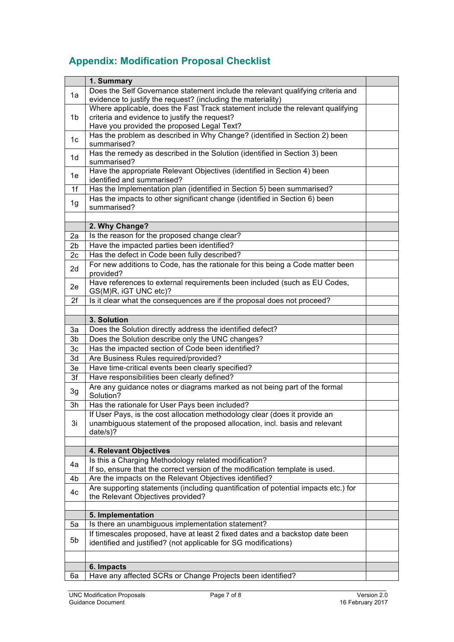## **Appendix: Modification Proposal Checklist**

|                | 1. Summary                                                                                            |  |
|----------------|-------------------------------------------------------------------------------------------------------|--|
|                | Does the Self Governance statement include the relevant qualifying criteria and                       |  |
| 1a             | evidence to justify the request? (including the materiality)                                          |  |
|                | Where applicable, does the Fast Track statement include the relevant qualifying                       |  |
| 1 <sub>b</sub> | criteria and evidence to justify the request?                                                         |  |
|                | Have you provided the proposed Legal Text?                                                            |  |
| 1 <sub>c</sub> | Has the problem as described in Why Change? (identified in Section 2) been                            |  |
|                | summarised?                                                                                           |  |
| 1 <sub>d</sub> | Has the remedy as described in the Solution (identified in Section 3) been                            |  |
|                | summarised?                                                                                           |  |
| 1e             | Have the appropriate Relevant Objectives (identified in Section 4) been<br>identified and summarised? |  |
| 1f             | Has the Implementation plan (identified in Section 5) been summarised?                                |  |
|                | Has the impacts to other significant change (identified in Section 6) been                            |  |
| 1g             | summarised?                                                                                           |  |
|                |                                                                                                       |  |
|                | 2. Why Change?                                                                                        |  |
| 2a             | Is the reason for the proposed change clear?                                                          |  |
| 2b             | Have the impacted parties been identified?                                                            |  |
| 2c             | Has the defect in Code been fully described?                                                          |  |
| 2d             | For new additions to Code, has the rationale for this being a Code matter been                        |  |
|                | provided?                                                                                             |  |
| 2e             | Have references to external requirements been included (such as EU Codes,                             |  |
| 2f             | GS(M)R, iGT UNC etc)?<br>Is it clear what the consequences are if the proposal does not proceed?      |  |
|                |                                                                                                       |  |
|                | 3. Solution                                                                                           |  |
| 3a             | Does the Solution directly address the identified defect?                                             |  |
| 3b             | Does the Solution describe only the UNC changes?                                                      |  |
| 3 <sub>c</sub> | Has the impacted section of Code been identified?                                                     |  |
| 3d             | Are Business Rules required/provided?                                                                 |  |
| 3e             | Have time-critical events been clearly specified?                                                     |  |
| 3f             | Have responsibilities been clearly defined?                                                           |  |
|                | Are any guidance notes or diagrams marked as not being part of the formal                             |  |
| 3g             | Solution?                                                                                             |  |
| 3h             | Has the rationale for User Pays been included?                                                        |  |
|                | If User Pays, is the cost allocation methodology clear (does it provide an                            |  |
| 3i             | unambiguous statement of the proposed allocation, incl. basis and relevant                            |  |
|                | $date/s$ ?                                                                                            |  |
|                |                                                                                                       |  |
|                | 4. Relevant Objectives<br>Is this a Charging Methodology related modification?                        |  |
| 4a             | If so, ensure that the correct version of the modification template is used.                          |  |
| 4b             | Are the impacts on the Relevant Objectives identified?                                                |  |
|                | Are supporting statements (including quantification of potential impacts etc.) for                    |  |
| 4c             | the Relevant Objectives provided?                                                                     |  |
|                |                                                                                                       |  |
|                | 5. Implementation                                                                                     |  |
| 5a             | Is there an unambiguous implementation statement?                                                     |  |
|                | If timescales proposed, have at least 2 fixed dates and a backstop date been                          |  |
| 5b             | identified and justified? (not applicable for SG modifications)                                       |  |
|                |                                                                                                       |  |
|                | 6. Impacts                                                                                            |  |
| 6a             | Have any affected SCRs or Change Projects been identified?                                            |  |